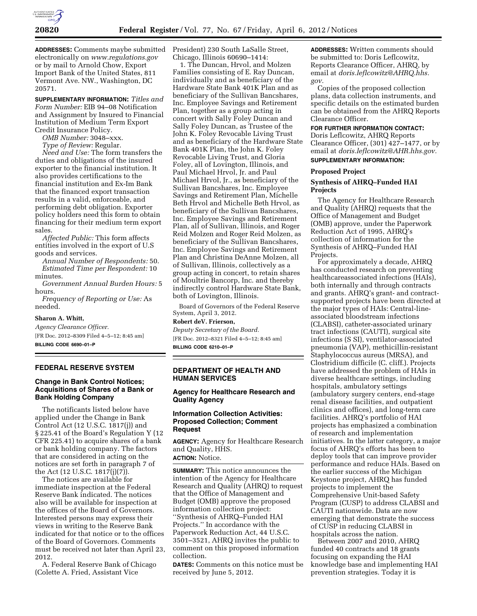

**ADDRESSES:** Comments maybe submitted electronically on *[www.regulations.gov](http://www.regulations.gov)*  or by mail to Arnold Chow, Export Import Bank of the United States, 811 Vermont Ave. NW., Washington, DC 20571.

**SUPPLEMENTARY INFORMATION:** *Titles and Form Number:* EIB 94–08 Notification and Assignment by Insured to Financial Institution of Medium Term Export Credit Insurance Policy.

*OMB Number:* 3048–xxx. *Type of Review:* Regular.

*Need and Use:* The form transfers the duties and obligations of the insured exporter to the financial institution. It also provides certifications to the financial institution and Ex-Im Bank that the financed export transaction results in a valid, enforceable, and performing debt obligation. Exporter policy holders need this form to obtain financing for their medium term export sales.

*Affected Public:* This form affects entities involved in the export of U.S goods and services.

*Annual Number of Respondents:* 50. *Estimated Time per Respondent:* 10 minutes.

*Government Annual Burden Hours:* 5 hours.

*Frequency of Reporting or Use:* As needed.

#### **Sharon A. Whitt,**

*Agency Clearance Officer.*  [FR Doc. 2012–8309 Filed 4–5–12; 8:45 am] **BILLING CODE 6690–01–P** 

### **FEDERAL RESERVE SYSTEM**

## **Change in Bank Control Notices; Acquisitions of Shares of a Bank or Bank Holding Company**

The notificants listed below have applied under the Change in Bank Control Act (12 U.S.C. 1817(j)) and § 225.41 of the Board's Regulation Y (12 CFR 225.41) to acquire shares of a bank or bank holding company. The factors that are considered in acting on the notices are set forth in paragraph 7 of the Act (12 U.S.C. 1817(j)(7)).

The notices are available for immediate inspection at the Federal Reserve Bank indicated. The notices also will be available for inspection at the offices of the Board of Governors. Interested persons may express their views in writing to the Reserve Bank indicated for that notice or to the offices of the Board of Governors. Comments must be received not later than April 23, 2012.

A. Federal Reserve Bank of Chicago (Colette A. Fried, Assistant Vice

President) 230 South LaSalle Street, Chicago, Illinois 60690–1414:

1. The Duncan, Hrvol, and Molzen Families consisting of E. Ray Duncan, individually and as beneficiary of the Hardware State Bank 401K Plan and as beneficiary of the Sullivan Bancshares, Inc. Employee Savings and Retirement Plan, together as a group acting in concert with Sally Foley Duncan and Sally Foley Duncan, as Trustee of the John K. Foley Revocable Living Trust and as beneficiary of the Hardware State Bank 401K Plan, the John K. Foley Revocable Living Trust, and Gloria Foley, all of Lovington, Illinois, and Paul Michael Hrvol, Jr. and Paul Michael Hrvol, Jr., as beneficiary of the Sullivan Bancshares, Inc. Employee Savings and Retirement Plan, Michelle Beth Hrvol and Michelle Beth Hrvol, as beneficiary of the Sullivan Bancshares, Inc. Employee Savings and Retirement Plan, all of Sullivan, Illinois, and Roger Reid Molzen and Roger Reid Molzen, as beneficiary of the Sullivan Bancshares, Inc. Employee Savings and Retirement Plan and Christina DeAnne Molzen, all of Sullivan, Illinois, collectively as a group acting in concert, to retain shares of Moultrie Bancorp, Inc. and thereby indirectly control Hardware State Bank, both of Lovington, Illinois.

Board of Governors of the Federal Reserve System, April 3, 2012.

# **Robert deV. Frierson,**

*Deputy Secretary of the Board.*  [FR Doc. 2012–8321 Filed 4–5–12; 8:45 am] **BILLING CODE 6210–01–P** 

## **DEPARTMENT OF HEALTH AND HUMAN SERVICES**

## **Agency for Healthcare Research and Quality Agency**

## **Information Collection Activities: Proposed Collection; Comment Request**

**AGENCY:** Agency for Healthcare Research and Quality, HHS. **ACTION:** Notice.

**SUMMARY:** This notice announces the intention of the Agency for Healthcare Research and Quality (AHRQ) to request that the Office of Management and Budget (OMB) approve the proposed information collection project: ''Synthesis of AHRQ–Funded HAI Projects.'' In accordance with the Paperwork Reduction Act, 44 U.S.C. 3501–3521, AHRQ invites the public to comment on this proposed information collection.

**DATES:** Comments on this notice must be received by June 5, 2012.

**ADDRESSES:** Written comments should be submitted to: Doris Leflcowitz, Reports Clearance Officer, AHRQ, by email at *[doris.leflcowitz@AHRQ.hhs.](mailto:doris.leflcowitz@AHRQ.hhs) gov.* 

Copies of the proposed collection plans, data collection instruments, and specific details on the estimated burden can be obtained from the AHRQ Reports Clearance Officer.

#### **FOR FURTHER INFORMATION CONTACT:**

Doris Leflcowitz, AHRQ Reports Clearance Officer, (301) 427–1477, or by email at *[doris.leflcowitz@AHR.hhs.gov.](mailto:doris.leflcowitz@AHR.hhs.gov)*  **SUPPLEMENTARY INFORMATION:** 

#### **Proposed Project**

## **Synthesis of AHRQ–Funded HAI Projects**

The Agency for Healthcare Research and Quality (AHRQ) requests that the Office of Management and Budget (OMB) approve, under the Paperwork Reduction Act of 1995, AHRQ's collection of information for the Synthesis of AHRQ–Funded HAI Projects.

For approximately a decade, AHRQ has conducted research on preventing healthcareassociated infections (HAIs), both internally and through contracts and grants. AHRQ's grant- and contractsupported projects have been directed at the major types of HAIs: Central-lineassociated bloodstream infections (CLABSI), catheter-associated urinary tract infections (CAUTI), surgical site infections (S SI), ventilator-associated pneumonia (VAP), methicillin-resistant Staphylococcus aureus (MRSA), and Clostridium difficile (C. cliff.). Projects have addressed the problem of HAIs in diverse healthcare settings, including hospitals, ambulatory settings (ambulatory surgery centers, end-stage renal disease facilities, and outpatient clinics and offices), and long-term care facilities. AHRQ's portfolio of HAI projects has emphasized a combination of research and implementation initiatives. In the latter category, a major focus of AHRQ's efforts has been to deploy tools that can improve provider performance and reduce HAIs. Based on the earlier success of the Michigan Keystone project, AHRQ has funded projects to implement the Comprehensive Unit-based Safety Program (CUSP) to address CLABSI and CAUTI nationwide. Data are now emerging that demonstrate the success of CUSP in reducing CLABSI in hospitals across the nation.

Between 2007 and 2010, AHRQ funded 40 contracts and 18 grants focusing on expanding the HAI knowledge base and implementing HAI prevention strategies. Today it is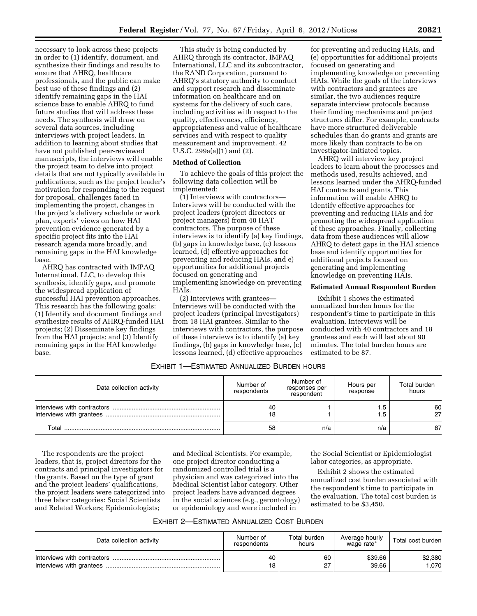necessary to look across these projects in order to (1) identify, document, and synthesize their findings and results to ensure that AHRQ, healthcare professionals, and the public can make best use of these findings and (2) identify remaining gaps in the HAI science base to enable AHRQ to fund future studies that will address these needs. The synthesis will draw on several data sources, including interviews with project leaders. In addition to learning about studies that have not published peer-reviewed manuscripts, the interviews will enable the project team to delve into project details that are not typically available in publications, such as the project leader's motivation for responding to the request for proposal, challenges faced in implementing the project, changes in the project's delivery schedule or work plan, experts' views on how HAI prevention evidence generated by a specific project fits into the HAI research agenda more broadly, and remaining gaps in the HAI knowledge base.

AHRQ has contracted with IMPAQ International, LLC, to develop this synthesis, identify gaps, and promote the widespread application of successful HAI prevention approaches. This research has the following goals: (1) Identify and document findings and synthesize results of AHRQ-funded HAI projects; (2) Disseminate key findings from the HAI projects; and (3) Identify remaining gaps in the HAI knowledge base.

This study is being conducted by AHRQ through its contractor, IMPAQ International, LLC and its subcontractor, the RAND Corporation, pursuant to AHRQ's statutory authority to conduct and support research and disseminate information on healthcare and on systems for the delivery of such care, including activities with respect to the quality, effectiveness, efficiency, appropriateness and value of healthcare services and with respect to quality measurement and improvement. 42 U.S.C. 299a(a)(1) and (2).

### **Method of Collection**

To achieve the goals of this project the following data collection will be implemented:

(1) Interviews with contractors— Interviews will be conducted with the project leaders (project directors or project managers) from 40 HAT contractors. The purpose of these interviews is to identify (a) key findings, (b) gaps in knowledge base, (c) lessons learned, (d) effective approaches for preventing and reducing HAIs, and e) opportunities for additional projects focused on generating and implementing knowledge on preventing HAIs.

(2) Interviews with grantees— Interviews will be conducted with the project leaders (principal investigators) from 18 HAI grantees. Similar to the interviews with contractors, the purpose of these interviews is to identify (a) key findings, (b) gaps in knowledge base, (c) lessons learned, (d) effective approaches

for preventing and reducing HAIs, and (e) opportunities for additional projects focused on generating and implementing knowledge on preventing HAIs. While the goals of the interviews with contractors and grantees are similar, the two audiences require separate interview protocols because their funding mechanisms and project structures differ. For example, contracts have more structured deliverable schedules than do grants and grants are more likely than contracts to be on investigator-initiated topics.

AHRQ will interview key project leaders to learn about the processes and methods used, results achieved, and lessons learned under the AHRQ-funded HAI contracts and grants. This information will enable AHRQ to identify effective approaches for preventing and reducing HAIs and for promoting the widespread application of these approaches. Finally, collecting data from these audiences will allow AHRQ to detect gaps in the HAI science base and identify opportunities for additional projects focused on generating and implementing knowledge on preventing HAIs.

#### **Estimated Annual Respondent Burden**

Exhibit 1 shows the estimated annualized burden hours for the respondent's time to participate in this evaluation. Interviews will be conducted with 40 contractors and 18 grantees and each will last about 90 minutes. The total burden hours are estimated to be 87.

### EXHIBIT 1—ESTIMATED ANNUALIZED BURDEN HOURS

| Data collection activity | Number of<br>respondents | Number of<br>responses per<br>respondent | Hours per<br>response | Total burden<br>hours |
|--------------------------|--------------------------|------------------------------------------|-----------------------|-----------------------|
|                          | 40                       |                                          | . 5<br>' .5           | 60<br>27              |
|                          | 58                       | n/a                                      | n/a                   | 87                    |

The respondents are the project leaders, that is, project directors for the contracts and principal investigators for the grants. Based on the type of grant and the project leaders' qualifications, the project leaders were categorized into three labor categories: Social Scientists and Related Workers; Epidemiologists;

and Medical Scientists. For example, one project director conducting a randomized controlled trial is a physician and was categorized into the Medical Scientist labor category. Other project leaders have advanced degrees in the social sciences (e.g., gerontology) or epidemiology and were included in

the Social Scientist or Epidemiologist labor categories, as appropriate.

Exhibit 2 shows the estimated annualized cost burden associated with the respondent's time to participate in the evaluation. The total cost burden is estimated to be \$3,450.

| Data collection activity    | Number of<br>respondents | Total burden<br>hours | Average hourly<br>wage rate* | Total cost burden |
|-----------------------------|--------------------------|-----------------------|------------------------------|-------------------|
| Interviews with contractors | 40                       | 60                    | \$39.66                      | \$2,380           |
|                             | 18                       | 27                    | 39.66                        | .070              |